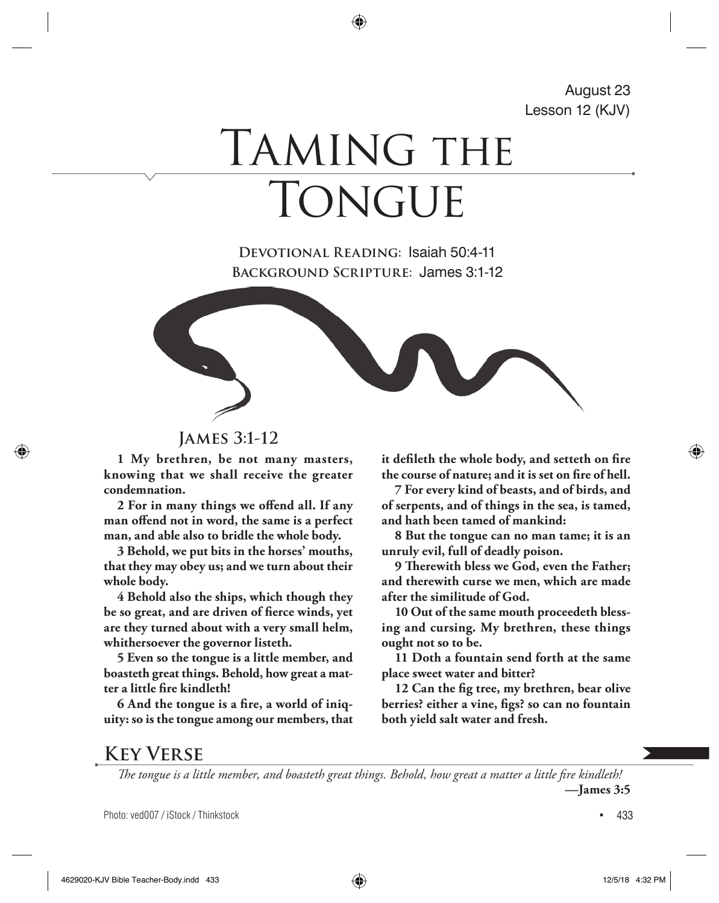August 23 Lesson 12 (KJV)

# Taming the **TONGUE**

**Devotional Reading:** Isaiah 50:4-11 **Background Scripture:** James 3:1-12



# **James 3:1-12**

**1 My brethren, be not many masters, knowing that we shall receive the greater condemnation.**

**2 For in many things we offend all. If any man offend not in word, the same is a perfect man, and able also to bridle the whole body.**

**3 Behold, we put bits in the horses' mouths, that they may obey us; and we turn about their whole body.**

**4 Behold also the ships, which though they be so great, and are driven of fierce winds, yet are they turned about with a very small helm, whithersoever the governor listeth.**

**5 Even so the tongue is a little member, and boasteth great things. Behold, how great a matter a little fire kindleth!**

**6 And the tongue is a fire, a world of iniquity: so is the tongue among our members, that**  **it defileth the whole body, and setteth on fire the course of nature; and it is set on fire of hell.**

**7 For every kind of beasts, and of birds, and of serpents, and of things in the sea, is tamed, and hath been tamed of mankind:**

**8 But the tongue can no man tame; it is an unruly evil, full of deadly poison.**

**9 Therewith bless we God, even the Father; and therewith curse we men, which are made after the similitude of God.**

**10 Out of the same mouth proceedeth blessing and cursing. My brethren, these things ought not so to be.**

**11 Doth a fountain send forth at the same place sweet water and bitter?**

**12 Can the fig tree, my brethren, bear olive berries? either a vine, figs? so can no fountain both yield salt water and fresh.**

# **Key Verse**

*The tongue is a little member, and boasteth great things. Behold, how great a matter a little fire kindleth!* **—James 3:5**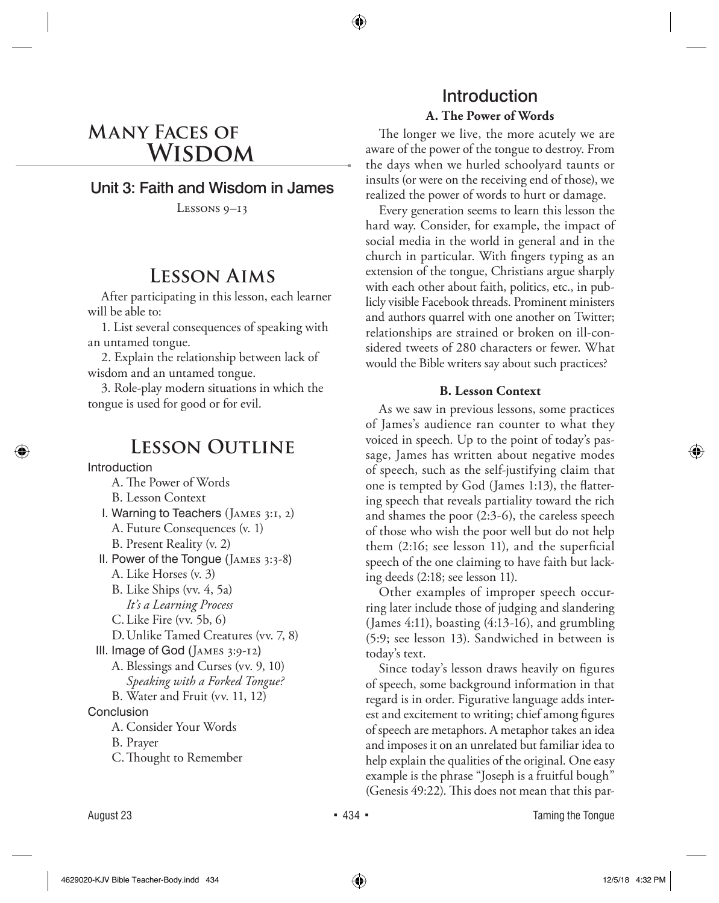# **Many Faces of Wisdom**

# Unit 3: Faith and Wisdom in James

Lessons 9–13

# **Lesson Aims**

After participating in this lesson, each learner will be able to:

1. List several consequences of speaking with an untamed tongue.

2. Explain the relationship between lack of wisdom and an untamed tongue.

3. Role-play modern situations in which the tongue is used for good or for evil.

# **Lesson Outline**

Introduction

- A. The Power of Words
- B. Lesson Context
- I. Warning to Teachers  $(I_{AMES 3:1, 2})$ A. Future Consequences (v. 1)
- B. Present Reality (v. 2) II. Power of the Tongue (James 3:3-8)
	- A. Like Horses (v. 3)
	- B. Like Ships (vv. 4, 5a)
	- *It's a Learning Process*
	- C. Like Fire (vv. 5b, 6)
- D. Unlike Tamed Creatures (vv. 7, 8)
- III. Image of God (James 3:9-12)
	- A. Blessings and Curses (vv. 9, 10) *Speaking with a Forked Tongue?*
	- B. Water and Fruit (vv. 11, 12)

#### Conclusion

A. Consider Your Words

B. Prayer

C. Thought to Remember

# Introduction **A. The Power of Words**

The longer we live, the more acutely we are aware of the power of the tongue to destroy. From the days when we hurled schoolyard taunts or insults (or were on the receiving end of those), we realized the power of words to hurt or damage.

Every generation seems to learn this lesson the hard way. Consider, for example, the impact of social media in the world in general and in the church in particular. With fingers typing as an extension of the tongue, Christians argue sharply with each other about faith, politics, etc., in publicly visible Facebook threads. Prominent ministers and authors quarrel with one another on Twitter; relationships are strained or broken on ill-considered tweets of 280 characters or fewer. What would the Bible writers say about such practices?

### **B. Lesson Context**

As we saw in previous lessons, some practices of James's audience ran counter to what they voiced in speech. Up to the point of today's passage, James has written about negative modes of speech, such as the self-justifying claim that one is tempted by God (James 1:13), the flattering speech that reveals partiality toward the rich and shames the poor (2:3-6), the careless speech of those who wish the poor well but do not help them (2:16; see lesson 11), and the superficial speech of the one claiming to have faith but lacking deeds (2:18; see lesson 11).

Other examples of improper speech occurring later include those of judging and slandering (James 4:11), boasting (4:13-16), and grumbling (5:9; see lesson 13). Sandwiched in between is today's text.

Since today's lesson draws heavily on figures of speech, some background information in that regard is in order. Figurative language adds interest and excitement to writing; chief among figures of speech are metaphors. A metaphor takes an idea and imposes it on an unrelated but familiar idea to help explain the qualities of the original. One easy example is the phrase "Joseph is a fruitful bough" (Genesis 49:22). This does not mean that this par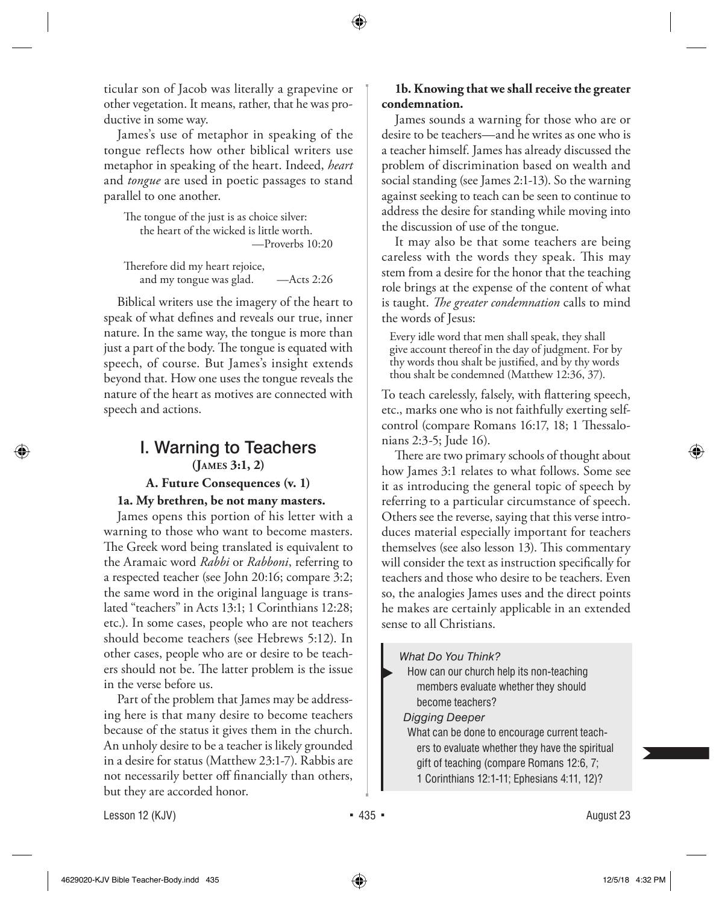ticular son of Jacob was literally a grapevine or other vegetation. It means, rather, that he was productive in some way.

James's use of metaphor in speaking of the tongue reflects how other biblical writers use metaphor in speaking of the heart. Indeed, *heart* and *tongue* are used in poetic passages to stand parallel to one another.

The tongue of the just is as choice silver: the heart of the wicked is little worth. —Proverbs 10:20

Therefore did my heart rejoice, and my tongue was glad. —Acts 2:26

Biblical writers use the imagery of the heart to speak of what defines and reveals our true, inner nature. In the same way, the tongue is more than just a part of the body. The tongue is equated with speech, of course. But James's insight extends beyond that. How one uses the tongue reveals the nature of the heart as motives are connected with speech and actions.

# I. Warning to Teachers **(James 3:1, 2)**

#### **A. Future Consequences (v. 1)**

### **1a. My brethren, be not many masters.**

James opens this portion of his letter with a warning to those who want to become masters. The Greek word being translated is equivalent to the Aramaic word *Rabbi* or *Rabboni*, referring to a respected teacher (see John 20:16; compare 3:2; the same word in the original language is translated "teachers" in Acts 13:1; 1 Corinthians 12:28; etc.). In some cases, people who are not teachers should become teachers (see Hebrews 5:12). In other cases, people who are or desire to be teachers should not be. The latter problem is the issue in the verse before us.

Part of the problem that James may be addressing here is that many desire to become teachers because of the status it gives them in the church. An unholy desire to be a teacher is likely grounded in a desire for status (Matthew 23:1-7). Rabbis are not necessarily better off financially than others, but they are accorded honor.

### **1b. Knowing that we shall receive the greater condemnation.**

James sounds a warning for those who are or desire to be teachers—and he writes as one who is a teacher himself. James has already discussed the problem of discrimination based on wealth and social standing (see James 2:1-13). So the warning against seeking to teach can be seen to continue to address the desire for standing while moving into the discussion of use of the tongue.

It may also be that some teachers are being careless with the words they speak. This may stem from a desire for the honor that the teaching role brings at the expense of the content of what is taught. *The greater condemnation* calls to mind the words of Jesus:

Every idle word that men shall speak, they shall give account thereof in the day of judgment. For by thy words thou shalt be justified, and by thy words thou shalt be condemned (Matthew 12:36, 37).

To teach carelessly, falsely, with flattering speech, etc., marks one who is not faithfully exerting selfcontrol (compare Romans 16:17, 18; 1 Thessalonians 2:3-5; Jude 16).

There are two primary schools of thought about how James 3:1 relates to what follows. Some see it as introducing the general topic of speech by referring to a particular circumstance of speech. Others see the reverse, saying that this verse introduces material especially important for teachers themselves (see also lesson 13). This commentary will consider the text as instruction specifically for teachers and those who desire to be teachers. Even so, the analogies James uses and the direct points he makes are certainly applicable in an extended sense to all Christians.

#### *What Do You Think?*

How can our church help its non-teaching members evaluate whether they should become teachers?

#### *Digging Deeper*

What can be done to encourage current teachers to evaluate whether they have the spiritual gift of teaching (compare Romans 12:6, 7; 1 Corinthians 12:1-11; Ephesians 4:11, 12)?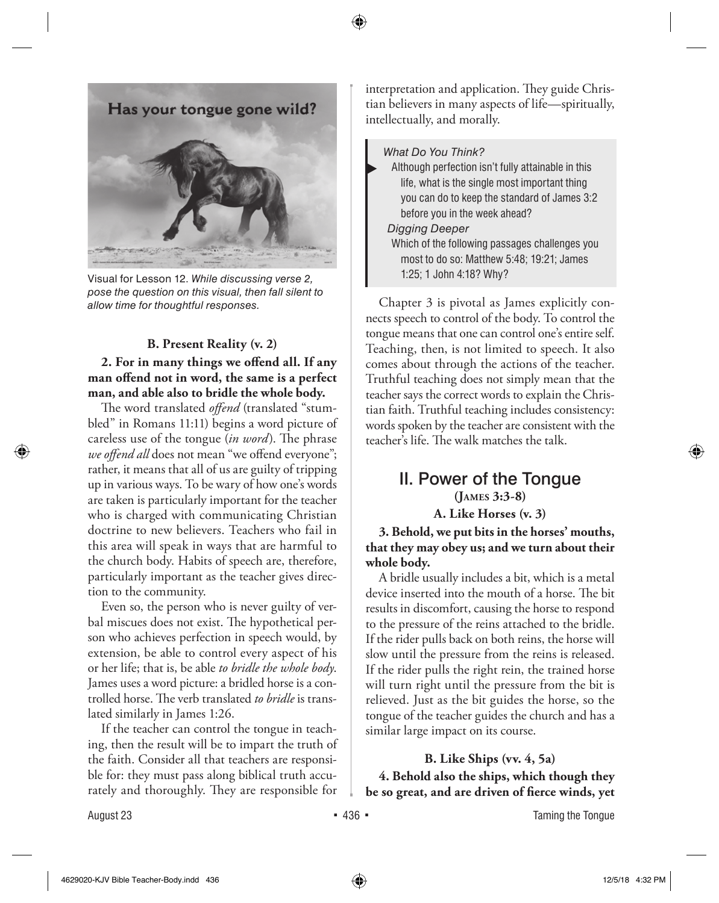

Visual for Lesson 12. *While discussing verse 2, pose the question on this visual, then fall silent to allow time for thoughtful responses.*

#### **B. Present Reality (v. 2)**

#### **2. For in many things we offend all. If any man offend not in word, the same is a perfect man, and able also to bridle the whole body.**

The word translated *offend* (translated "stumbled" in Romans 11:11) begins a word picture of careless use of the tongue (*in word*). The phrase *we offend all* does not mean "we offend everyone"; rather, it means that all of us are guilty of tripping up in various ways. To be wary of how one's words are taken is particularly important for the teacher who is charged with communicating Christian doctrine to new believers. Teachers who fail in this area will speak in ways that are harmful to the church body. Habits of speech are, therefore, particularly important as the teacher gives direction to the community.

Even so, the person who is never guilty of verbal miscues does not exist. The hypothetical person who achieves perfection in speech would, by extension, be able to control every aspect of his or her life; that is, be able *to bridle the whole body*. James uses a word picture: a bridled horse is a controlled horse. The verb translated *to bridle* is translated similarly in James 1:26.

If the teacher can control the tongue in teaching, then the result will be to impart the truth of the faith. Consider all that teachers are responsible for: they must pass along biblical truth accurately and thoroughly. They are responsible for

interpretation and application. They guide Christian believers in many aspects of life—spiritually, intellectually, and morally.

#### *What Do You Think?*

Although perfection isn't fully attainable in this life, what is the single most important thing you can do to keep the standard of James 3:2 before you in the week ahead? *Digging Deeper* Which of the following passages challenges you most to do so: Matthew 5:48; 19:21; James 1:25; 1 John 4:18? Why?

Chapter 3 is pivotal as James explicitly connects speech to control of the body. To control the tongue means that one can control one's entire self. Teaching, then, is not limited to speech. It also comes about through the actions of the teacher. Truthful teaching does not simply mean that the teacher says the correct words to explain the Christian faith. Truthful teaching includes consistency: words spoken by the teacher are consistent with the teacher's life. The walk matches the talk.

# II. Power of the Tongue **(James 3:3-8)**

**A. Like Horses (v. 3)**

**3. Behold, we put bits in the horses' mouths, that they may obey us; and we turn about their whole body.**

A bridle usually includes a bit, which is a metal device inserted into the mouth of a horse. The bit results in discomfort, causing the horse to respond to the pressure of the reins attached to the bridle. If the rider pulls back on both reins, the horse will slow until the pressure from the reins is released. If the rider pulls the right rein, the trained horse will turn right until the pressure from the bit is relieved. Just as the bit guides the horse, so the tongue of the teacher guides the church and has a similar large impact on its course.

# **B. Like Ships (vv. 4, 5a)**

**4. Behold also the ships, which though they be so great, and are driven of fierce winds, yet**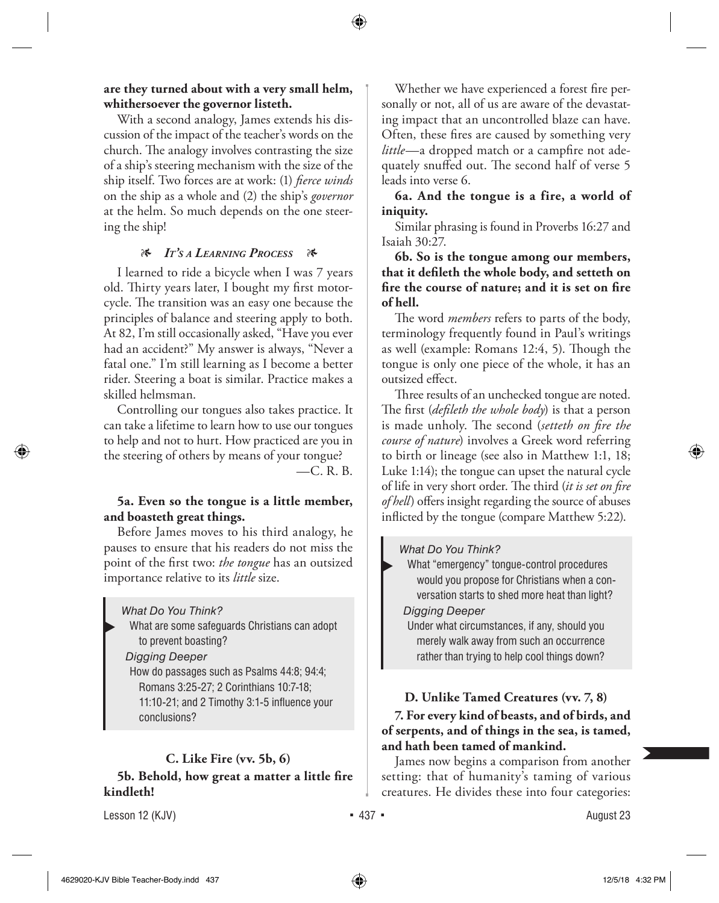#### **are they turned about with a very small helm, whithersoever the governor listeth.**

With a second analogy, James extends his discussion of the impact of the teacher's words on the church. The analogy involves contrasting the size of a ship's steering mechanism with the size of the ship itself. Two forces are at work: (1) *fierce winds* on the ship as a whole and (2) the ship's *governor* at the helm. So much depends on the one steering the ship!

#### *1 It's <sup>a</sup> Learning Process 1*

I learned to ride a bicycle when I was 7 years old. Thirty years later, I bought my first motorcycle. The transition was an easy one because the principles of balance and steering apply to both. At 82, I'm still occasionally asked, "Have you ever had an accident?" My answer is always, "Never a fatal one." I'm still learning as I become a better rider. Steering a boat is similar. Practice makes a skilled helmsman.

Controlling our tongues also takes practice. It can take a lifetime to learn how to use our tongues to help and not to hurt. How practiced are you in the steering of others by means of your tongue?

—C. R. B.

#### **5a. Even so the tongue is a little member, and boasteth great things.**

Before James moves to his third analogy, he pauses to ensure that his readers do not miss the point of the first two: *the tongue* has an outsized importance relative to its *little* size.

#### *What Do You Think?*

What are some safeguards Christians can adopt to prevent boasting?

*Digging Deeper*

How do passages such as Psalms 44:8; 94:4; Romans 3:25-27; 2 Corinthians 10:7-18; 11:10-21; and 2 Timothy 3:1-5 influence your conclusions?

# **C. Like Fire (vv. 5b, 6)**

**5b. Behold, how great a matter a little fire kindleth!**

Whether we have experienced a forest fire personally or not, all of us are aware of the devastating impact that an uncontrolled blaze can have. Often, these fires are caused by something very *little*—a dropped match or a campfire not adequately snuffed out. The second half of verse 5 leads into verse 6.

**6a. And the tongue is a fire, a world of iniquity.** 

Similar phrasing is found in Proverbs 16:27 and Isaiah 30:27.

**6b. So is the tongue among our members, that it defileth the whole body, and setteth on fire the course of nature; and it is set on fire of hell.**

The word *members* refers to parts of the body, terminology frequently found in Paul's writings as well (example: Romans 12:4, 5). Though the tongue is only one piece of the whole, it has an outsized effect.

Three results of an unchecked tongue are noted. The first (*defileth the whole body*) is that a person is made unholy. The second (*setteth on fire the course of nature*) involves a Greek word referring to birth or lineage (see also in Matthew 1:1, 18; Luke 1:14); the tongue can upset the natural cycle of life in very short order. The third (*it is set on fire of hell*) offers insight regarding the source of abuses inflicted by the tongue (compare Matthew 5:22).

#### *What Do You Think?*

What "emergency" tongue-control procedures would you propose for Christians when a conversation starts to shed more heat than light? *Digging Deeper*

Under what circumstances, if any, should you merely walk away from such an occurrence rather than trying to help cool things down?

# **D. Unlike Tamed Creatures (vv. 7, 8)**

**7. For every kind of beasts, and of birds, and of serpents, and of things in the sea, is tamed, and hath been tamed of mankind.**

James now begins a comparison from another setting: that of humanity's taming of various creatures. He divides these into four categories:

Lesson 12 (KJV) ■ 437 ■ August 23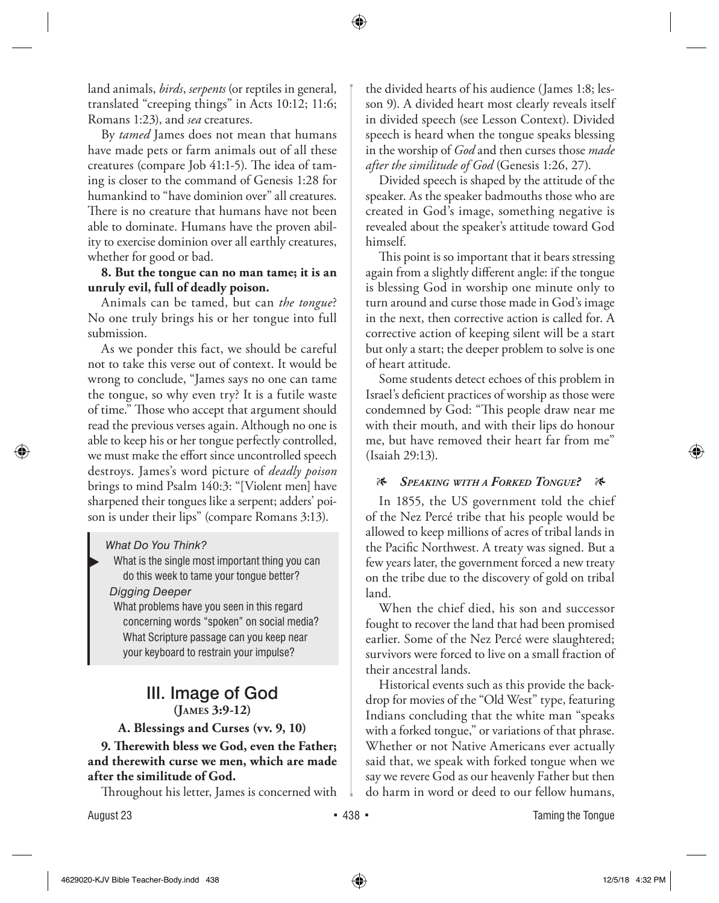land animals, *birds*, *serpents* (or reptiles in general, translated "creeping things" in Acts 10:12; 11:6; Romans 1:23), and *sea* creatures.

By *tamed* James does not mean that humans have made pets or farm animals out of all these creatures (compare Job 41:1-5). The idea of taming is closer to the command of Genesis 1:28 for humankind to "have dominion over" all creatures. There is no creature that humans have not been able to dominate. Humans have the proven ability to exercise dominion over all earthly creatures, whether for good or bad.

#### **8. But the tongue can no man tame; it is an unruly evil, full of deadly poison.**

Animals can be tamed, but can *the tongue*? No one truly brings his or her tongue into full submission.

As we ponder this fact, we should be careful not to take this verse out of context. It would be wrong to conclude, "James says no one can tame the tongue, so why even try? It is a futile waste of time." Those who accept that argument should read the previous verses again. Although no one is able to keep his or her tongue perfectly controlled, we must make the effort since uncontrolled speech destroys. James's word picture of *deadly poison* brings to mind Psalm 140:3: "[Violent men] have sharpened their tongues like a serpent; adders' poison is under their lips" (compare Romans 3:13).

#### *What Do You Think?*

What is the single most important thing you can do this week to tame your tongue better? *Digging Deeper*

What problems have you seen in this regard concerning words "spoken" on social media? What Scripture passage can you keep near your keyboard to restrain your impulse?

# III. Image of God **(James 3:9-12)**

#### **A. Blessings and Curses (vv. 9, 10)**

**9. Therewith bless we God, even the Father; and therewith curse we men, which are made after the similitude of God.**

Throughout his letter, James is concerned with

the divided hearts of his audience (James 1:8; lesson 9). A divided heart most clearly reveals itself in divided speech (see Lesson Context). Divided speech is heard when the tongue speaks blessing in the worship of *God* and then curses those *made after the similitude of God* (Genesis 1:26, 27).

Divided speech is shaped by the attitude of the speaker. As the speaker badmouths those who are created in God's image, something negative is revealed about the speaker's attitude toward God himself.

This point is so important that it bears stressing again from a slightly different angle: if the tongue is blessing God in worship one minute only to turn around and curse those made in God's image in the next, then corrective action is called for. A corrective action of keeping silent will be a start but only a start; the deeper problem to solve is one of heart attitude.

Some students detect echoes of this problem in Israel's deficient practices of worship as those were condemned by God: "This people draw near me with their mouth, and with their lips do honour me, but have removed their heart far from me" (Isaiah 29:13).

#### *1 Speaking with <sup>a</sup> Forked Tongue? 1*

In 1855, the US government told the chief of the Nez Percé tribe that his people would be allowed to keep millions of acres of tribal lands in the Pacific Northwest. A treaty was signed. But a few years later, the government forced a new treaty on the tribe due to the discovery of gold on tribal land.

When the chief died, his son and successor fought to recover the land that had been promised earlier. Some of the Nez Percé were slaughtered; survivors were forced to live on a small fraction of their ancestral lands.

Historical events such as this provide the backdrop for movies of the "Old West" type, featuring Indians concluding that the white man "speaks with a forked tongue," or variations of that phrase. Whether or not Native Americans ever actually said that, we speak with forked tongue when we say we revere God as our heavenly Father but then do harm in word or deed to our fellow humans,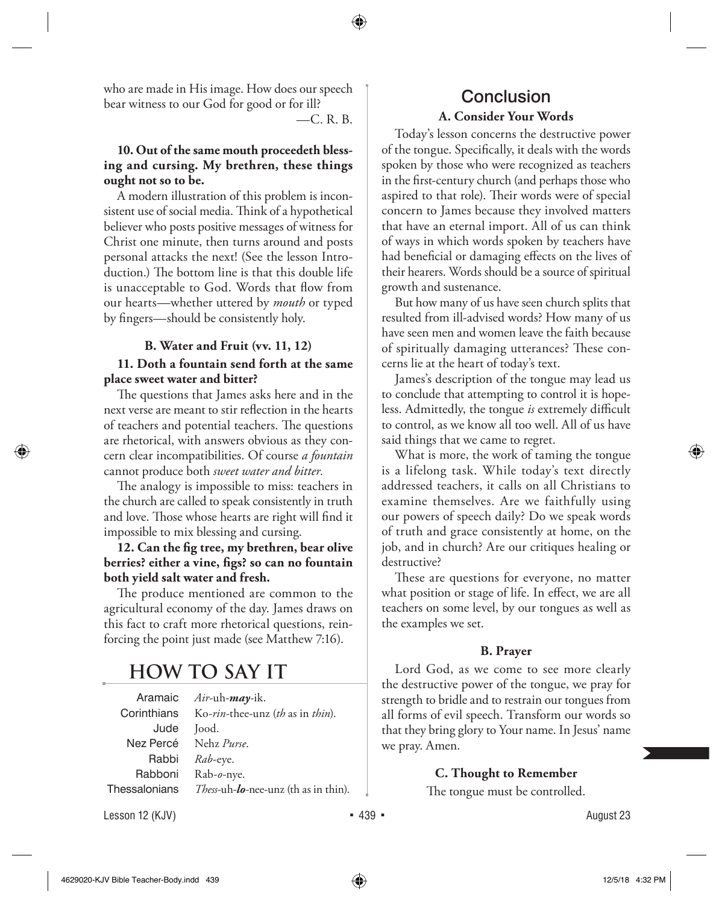who are made in His image. How does our speech bear witness to our God for good or for ill?

 $-C. R. B.$ 

#### **10. Out of the same mouth proceedeth blessing and cursing. My brethren, these things ought not so to be.**

A modern illustration of this problem is inconsistent use of social media. Think of a hypothetical believer who posts positive messages of witness for Christ one minute, then turns around and posts personal attacks the next! (See the lesson Introduction.) The bottom line is that this double life is unacceptable to God. Words that flow from our hearts—whether uttered by *mouth* or typed by fingers—should be consistently holy.

#### **B. Water and Fruit (vv. 11, 12)**

#### **11. Doth a fountain send forth at the same place sweet water and bitter?**

The questions that James asks here and in the next verse are meant to stir reflection in the hearts of teachers and potential teachers. The questions are rhetorical, with answers obvious as they concern clear incompatibilities. Of course *a fountain* cannot produce both *sweet water and bitter.*

The analogy is impossible to miss: teachers in the church are called to speak consistently in truth and love. Those whose hearts are right will find it impossible to mix blessing and cursing.

#### **12. Can the fig tree, my brethren, bear olive berries? either a vine, figs? so can no fountain both yield salt water and fresh.**

The produce mentioned are common to the agricultural economy of the day. James draws on this fact to craft more rhetorical questions, reinforcing the point just made (see Matthew 7:16).

# **HOW TO SAY IT**

|               | Aramaic <i>Air</i> -uh- <i>may</i> -ik.              |
|---------------|------------------------------------------------------|
| Corinthians   | Ko-rin-thee-unz (th as in thin).                     |
| Jude          | Jood.                                                |
|               | Nez Percé Nehz Purse.                                |
| Rabbi         | Rab-eye.                                             |
| Rabboni       | Rab-o-nye.                                           |
| Thessalonians | <i>Thess-</i> uh- <i>lo-nee-unz</i> (th as in thin). |
|               |                                                      |

# Conclusion **A. Consider Your Words**

Today's lesson concerns the destructive power of the tongue. Specifically, it deals with the words spoken by those who were recognized as teachers in the first-century church (and perhaps those who aspired to that role). Their words were of special concern to James because they involved matters that have an eternal import. All of us can think of ways in which words spoken by teachers have had beneficial or damaging effects on the lives of their hearers. Words should be a source of spiritual growth and sustenance.

But how many of us have seen church splits that resulted from ill-advised words? How many of us have seen men and women leave the faith because of spiritually damaging utterances? These concerns lie at the heart of today's text.

James's description of the tongue may lead us to conclude that attempting to control it is hopeless. Admittedly, the tongue *is* extremely difficult to control, as we know all too well. All of us have said things that we came to regret.

What is more, the work of taming the tongue is a lifelong task. While today's text directly addressed teachers, it calls on all Christians to examine themselves. Are we faithfully using our powers of speech daily? Do we speak words of truth and grace consistently at home, on the job, and in church? Are our critiques healing or destructive?

These are questions for everyone, no matter what position or stage of life. In effect, we are all teachers on some level, by our tongues as well as the examples we set.

#### **B. Prayer**

Lord God, as we come to see more clearly the destructive power of the tongue, we pray for strength to bridle and to restrain our tongues from all forms of evil speech. Transform our words so that they bring glory to Your name. In Jesus' name we pray. Amen.

### **C. Thought to Remember**

The tongue must be controlled.